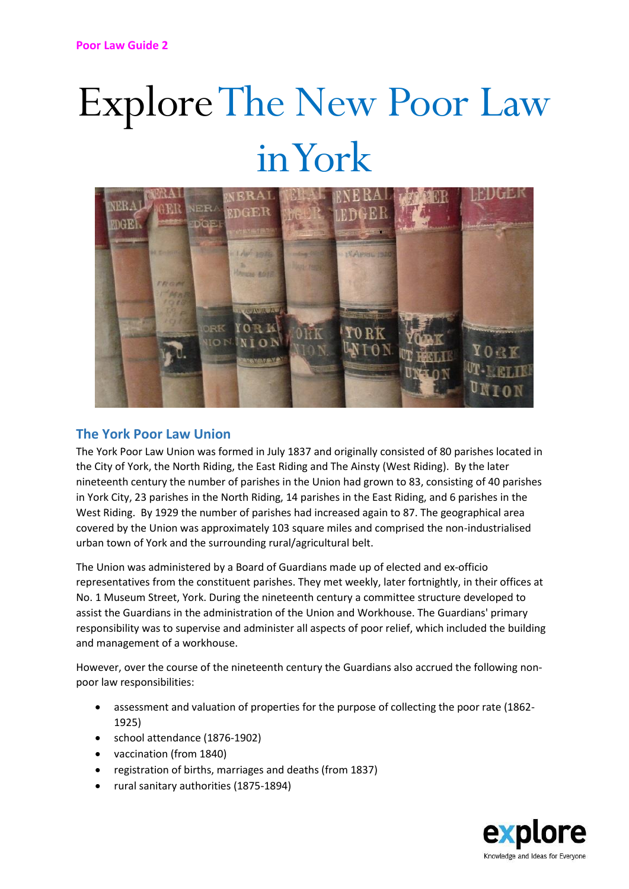## Explore The New Poor Law in York



## **The York Poor Law Union**

The York Poor Law Union was formed in July 1837 and originally consisted of 80 parishes located in the City of York, the North Riding, the East Riding and The Ainsty (West Riding). By the later nineteenth century the number of parishes in the Union had grown to 83, consisting of 40 parishes in York City, 23 parishes in the North Riding, 14 parishes in the East Riding, and 6 parishes in the West Riding. By 1929 the number of parishes had increased again to 87. The geographical area covered by the Union was approximately 103 square miles and comprised the non-industrialised urban town of York and the surrounding rural/agricultural belt.

The Union was administered by a Board of Guardians made up of elected and ex-officio representatives from the constituent parishes. They met weekly, later fortnightly, in their offices at No. 1 Museum Street, York. During the nineteenth century a committee structure developed to assist the Guardians in the administration of the Union and Workhouse. The Guardians' primary responsibility was to supervise and administer all aspects of poor relief, which included the building and management of a workhouse.

However, over the course of the nineteenth century the Guardians also accrued the following nonpoor law responsibilities:

- assessment and valuation of properties for the purpose of collecting the poor rate (1862- 1925)
- school attendance (1876-1902)
- vaccination (from 1840)
- registration of births, marriages and deaths (from 1837)
- rural sanitary authorities (1875-1894)

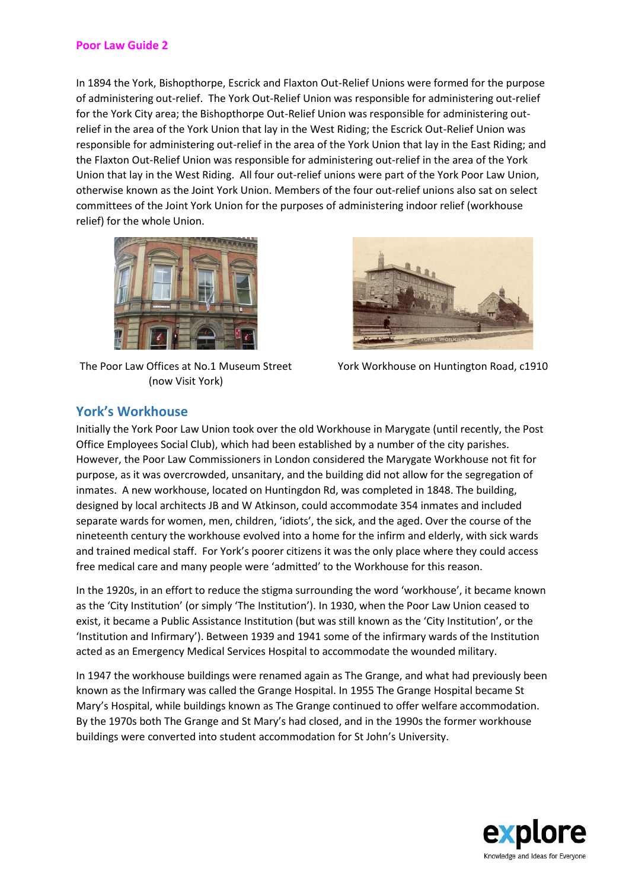In 1894 the York, Bishopthorpe, Escrick and Flaxton Out-Relief Unions were formed for the purpose of administering out-relief. The York Out-Relief Union was responsible for administering out-relief for the York City area; the Bishopthorpe Out-Relief Union was responsible for administering outrelief in the area of the York Union that lay in the West Riding; the Escrick Out-Relief Union was responsible for administering out-relief in the area of the York Union that lay in the East Riding; and the Flaxton Out-Relief Union was responsible for administering out-relief in the area of the York Union that lay in the West Riding. All four out-relief unions were part of the York Poor Law Union, otherwise known as the Joint York Union. Members of the four out-relief unions also sat on select committees of the Joint York Union for the purposes of administering indoor relief (workhouse relief) for the whole Union.



The Poor Law Offices at No.1 Museum Street (now Visit York)



York Workhouse on Huntington Road, c1910

## **York's Workhouse**

Initially the York Poor Law Union took over the old Workhouse in Marygate (until recently, the Post Office Employees Social Club), which had been established by a number of the city parishes. However, the Poor Law Commissioners in London considered the Marygate Workhouse not fit for purpose, as it was overcrowded, unsanitary, and the building did not allow for the segregation of inmates. A new workhouse, located on Huntingdon Rd, was completed in 1848. The building, designed by local architects JB and W Atkinson, could accommodate 354 inmates and included separate wards for women, men, children, 'idiots', the sick, and the aged. Over the course of the nineteenth century the workhouse evolved into a home for the infirm and elderly, with sick wards and trained medical staff. For York's poorer citizens it was the only place where they could access free medical care and many people were 'admitted' to the Workhouse for this reason.

In the 1920s, in an effort to reduce the stigma surrounding the word 'workhouse', it became known as the 'City Institution' (or simply 'The Institution'). In 1930, when the Poor Law Union ceased to exist, it became a Public Assistance Institution (but was still known as the 'City Institution', or the 'Institution and Infirmary'). Between 1939 and 1941 some of the infirmary wards of the Institution acted as an Emergency Medical Services Hospital to accommodate the wounded military.

In 1947 the workhouse buildings were renamed again as The Grange, and what had previously been known as the Infirmary was called the Grange Hospital. In 1955 The Grange Hospital became St Mary's Hospital, while buildings known as The Grange continued to offer welfare accommodation. By the 1970s both The Grange and St Mary's had closed, and in the 1990s the former workhouse buildings were converted into student accommodation for St John's University.